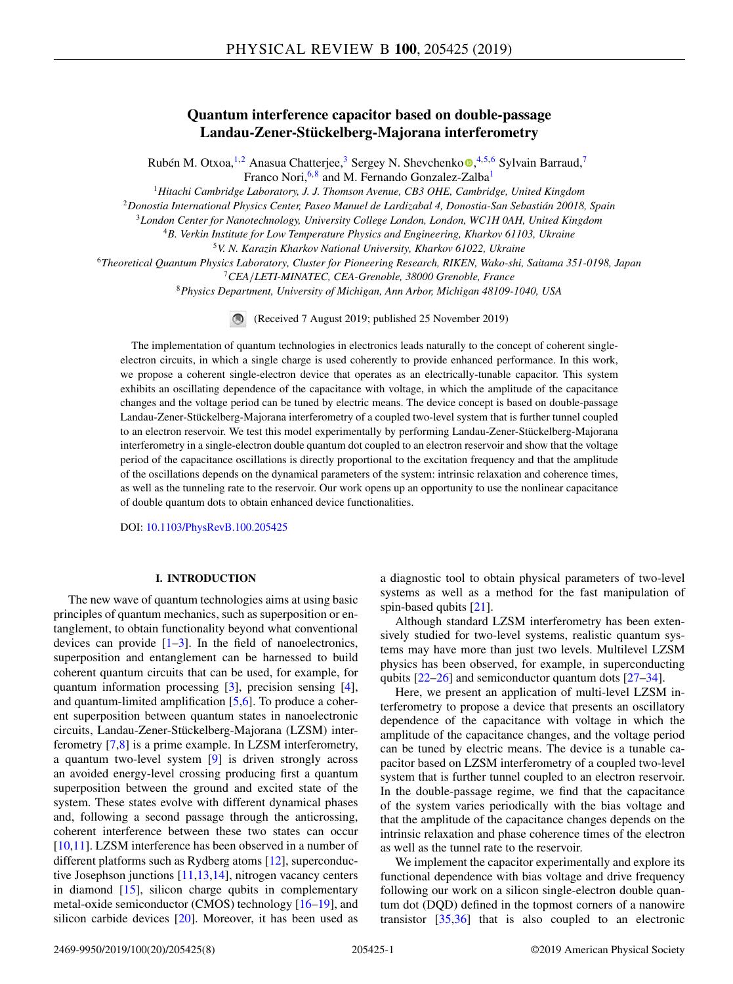# **Quantum interference capacitor based on double-passage Landau-Zener-Stückelberg-Majorana interferometry**

Rubén M. Otx[o](https://orcid.org/0000-0003-3655-0365)a, <sup>1,2</sup> Anasua Chatterjee, <sup>3</sup> Sergey N. Shevchenko <sup>®</sup>, <sup>4,5,6</sup> Sylvain Barraud,<sup>7</sup> Franco Nori,<sup>6,8</sup> and M. Fernando Gonzalez-Zalba<sup>1</sup>

<sup>1</sup>*Hitachi Cambridge Laboratory, J. J. Thomson Avenue, CB3 OHE, Cambridge, United Kingdom*

<sup>2</sup>*Donostia International Physics Center, Paseo Manuel de Lardizabal 4, Donostia-San Sebastián 20018, Spain*

<sup>3</sup>*London Center for Nanotechnology, University College London, London, WC1H 0AH, United Kingdom*

<sup>4</sup>*B. Verkin Institute for Low Temperature Physics and Engineering, Kharkov 61103, Ukraine* <sup>5</sup>*V. N. Karazin Kharkov National University, Kharkov 61022, Ukraine*

<sup>6</sup>*Theoretical Quantum Physics Laboratory, Cluster for Pioneering Research, RIKEN, Wako-shi, Saitama 351-0198, Japan*

<sup>7</sup>*CEA*/*LETI-MINATEC, CEA-Grenoble, 38000 Grenoble, France*

<sup>8</sup>*Physics Department, University of Michigan, Ann Arbor, Michigan 48109-1040, USA*

(Received 7 August 2019; published 25 November 2019)

The implementation of quantum technologies in electronics leads naturally to the concept of coherent singleelectron circuits, in which a single charge is used coherently to provide enhanced performance. In this work, we propose a coherent single-electron device that operates as an electrically-tunable capacitor. This system exhibits an oscillating dependence of the capacitance with voltage, in which the amplitude of the capacitance changes and the voltage period can be tuned by electric means. The device concept is based on double-passage Landau-Zener-Stückelberg-Majorana interferometry of a coupled two-level system that is further tunnel coupled to an electron reservoir. We test this model experimentally by performing Landau-Zener-Stückelberg-Majorana interferometry in a single-electron double quantum dot coupled to an electron reservoir and show that the voltage period of the capacitance oscillations is directly proportional to the excitation frequency and that the amplitude of the oscillations depends on the dynamical parameters of the system: intrinsic relaxation and coherence times, as well as the tunneling rate to the reservoir. Our work opens up an opportunity to use the nonlinear capacitance of double quantum dots to obtain enhanced device functionalities.

DOI: [10.1103/PhysRevB.100.205425](https://doi.org/10.1103/PhysRevB.100.205425)

# **I. INTRODUCTION**

The new wave of quantum technologies aims at using basic principles of quantum mechanics, such as superposition or entanglement, to obtain functionality beyond what conventional devices can provide  $[1-3]$ . In the field of nanoelectronics, superposition and entanglement can be harnessed to build coherent quantum circuits that can be used, for example, for quantum information processing [\[3\]](#page-6-0), precision sensing [\[4\]](#page-6-0), and quantum-limited amplification [\[5,6\]](#page-6-0). To produce a coherent superposition between quantum states in nanoelectronic circuits, Landau-Zener-Stückelberg-Majorana (LZSM) interferometry [\[7,8\]](#page-6-0) is a prime example. In LZSM interferometry, a quantum two-level system [\[9\]](#page-6-0) is driven strongly across an avoided energy-level crossing producing first a quantum superposition between the ground and excited state of the system. These states evolve with different dynamical phases and, following a second passage through the anticrossing, coherent interference between these two states can occur [\[10,11\]](#page-6-0). LZSM interference has been observed in a number of different platforms such as Rydberg atoms [\[12\]](#page-6-0), superconductive Josephson junctions [\[11,13,14\]](#page-6-0), nitrogen vacancy centers in diamond [\[15\]](#page-6-0), silicon charge qubits in complementary metal-oxide semiconductor (CMOS) technology [\[16–19\]](#page-6-0), and silicon carbide devices [\[20\]](#page-6-0). Moreover, it has been used as

a diagnostic tool to obtain physical parameters of two-level systems as well as a method for the fast manipulation of spin-based qubits [\[21\]](#page-6-0).

Although standard LZSM interferometry has been extensively studied for two-level systems, realistic quantum systems may have more than just two levels. Multilevel LZSM physics has been observed, for example, in superconducting qubits [\[22](#page-6-0)[–26\]](#page-7-0) and semiconductor quantum dots [\[27–34\]](#page-7-0).

Here, we present an application of multi-level LZSM interferometry to propose a device that presents an oscillatory dependence of the capacitance with voltage in which the amplitude of the capacitance changes, and the voltage period can be tuned by electric means. The device is a tunable capacitor based on LZSM interferometry of a coupled two-level system that is further tunnel coupled to an electron reservoir. In the double-passage regime, we find that the capacitance of the system varies periodically with the bias voltage and that the amplitude of the capacitance changes depends on the intrinsic relaxation and phase coherence times of the electron as well as the tunnel rate to the reservoir.

We implement the capacitor experimentally and explore its functional dependence with bias voltage and drive frequency following our work on a silicon single-electron double quantum dot (DQD) defined in the topmost corners of a nanowire transistor [\[35,36\]](#page-7-0) that is also coupled to an electronic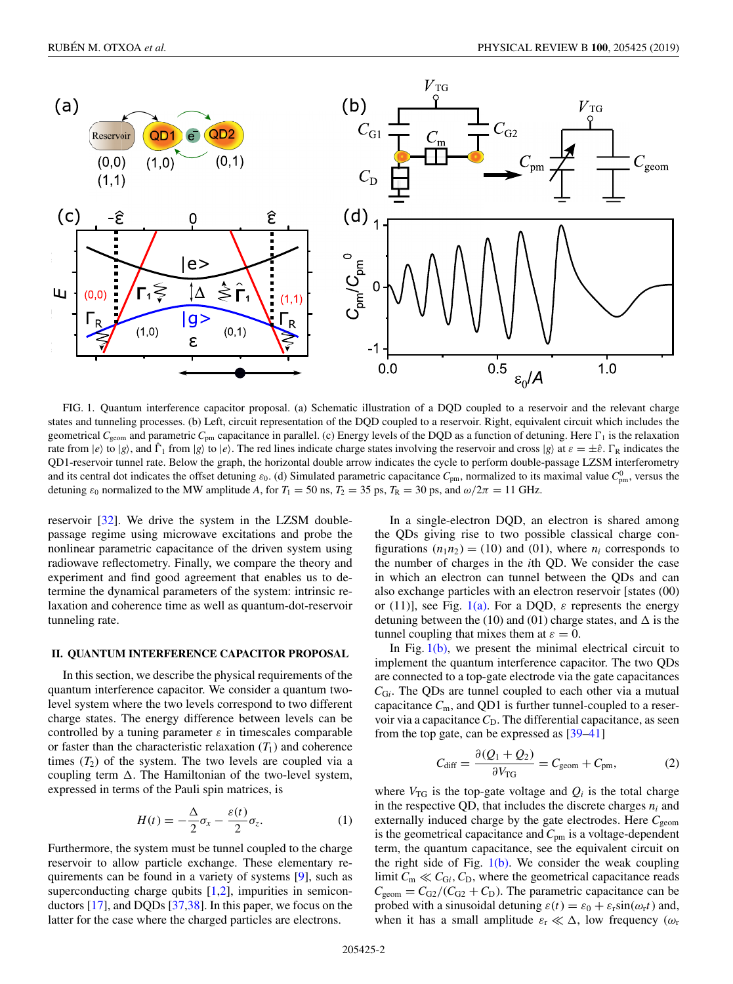<span id="page-1-0"></span>

FIG. 1. Quantum interference capacitor proposal. (a) Schematic illustration of a DQD coupled to a reservoir and the relevant charge states and tunneling processes. (b) Left, circuit representation of the DQD coupled to a reservoir. Right, equivalent circuit which includes the geometrical  $C_{\text{geom}}$  and parametric  $C_{\text{pm}}$  capacitance in parallel. (c) Energy levels of the DQD as a function of detuning. Here  $\Gamma_1$  is the relaxation rate from  $|e\rangle$  to  $|g\rangle$ , and  $\hat{\Gamma}_1$  from  $|g\rangle$  to  $|e\rangle$ . The red lines indicate charge states involving the reservoir and cross  $|g\rangle$  at  $\varepsilon = \pm \hat{\varepsilon}$ .  $\Gamma_R$  indicates the QD1-reservoir tunnel rate. Below the graph, the horizontal double arrow indicates the cycle to perform double-passage LZSM interferometry and its central dot indicates the offset detuning  $\varepsilon_0$ . (d) Simulated parametric capacitance  $C_{\text{pm}}$ , normalized to its maximal value  $C_{\text{pm}}^0$ , versus the detuning  $\varepsilon_0$  normalized to the MW amplitude *A*, for  $T_1 = 50$  ns,  $T_2 = 35$  ps,  $T_R = 30$  ps, and  $\omega/2\pi = 11$  GHz.

reservoir [\[32\]](#page-7-0). We drive the system in the LZSM doublepassage regime using microwave excitations and probe the nonlinear parametric capacitance of the driven system using radiowave reflectometry. Finally, we compare the theory and experiment and find good agreement that enables us to determine the dynamical parameters of the system: intrinsic relaxation and coherence time as well as quantum-dot-reservoir tunneling rate.

## **II. QUANTUM INTERFERENCE CAPACITOR PROPOSAL**

In this section, we describe the physical requirements of the quantum interference capacitor. We consider a quantum twolevel system where the two levels correspond to two different charge states. The energy difference between levels can be controlled by a tuning parameter  $\varepsilon$  in timescales comparable or faster than the characteristic relaxation  $(T_1)$  and coherence times  $(T_2)$  of the system. The two levels are coupled via a coupling term  $\Delta$ . The Hamiltonian of the two-level system, expressed in terms of the Pauli spin matrices, is

$$
H(t) = -\frac{\Delta}{2}\sigma_x - \frac{\varepsilon(t)}{2}\sigma_z.
$$
 (1)

Furthermore, the system must be tunnel coupled to the charge reservoir to allow particle exchange. These elementary requirements can be found in a variety of systems [\[9\]](#page-6-0), such as superconducting charge qubits [\[1,2\]](#page-6-0), impurities in semiconductors [\[17\]](#page-6-0), and DQDs [\[37,38\]](#page-7-0). In this paper, we focus on the latter for the case where the charged particles are electrons.

In a single-electron DQD, an electron is shared among the QDs giving rise to two possible classical charge configurations  $(n_1n_2) = (10)$  and  $(01)$ , where  $n_i$  corresponds to the number of charges in the *i*th QD. We consider the case in which an electron can tunnel between the QDs and can also exchange particles with an electron reservoir [states (00) or (11)], see Fig. 1(a). For a DQD,  $\varepsilon$  represents the energy detuning between the (10) and (01) charge states, and  $\Delta$  is the tunnel coupling that mixes them at  $\varepsilon = 0$ .

In Fig.  $1(b)$ , we present the minimal electrical circuit to implement the quantum interference capacitor. The two QDs are connected to a top-gate electrode via the gate capacitances  $C_{Gi}$ . The QDs are tunnel coupled to each other via a mutual capacitance *C*m, and QD1 is further tunnel-coupled to a reservoir via a capacitance  $C<sub>D</sub>$ . The differential capacitance, as seen from the top gate, can be expressed as [\[39–41\]](#page-7-0)

$$
C_{\text{diff}} = \frac{\partial (Q_1 + Q_2)}{\partial V_{\text{TG}}} = C_{\text{geom}} + C_{\text{pm}},\tag{2}
$$

where  $V_{\text{TG}}$  is the top-gate voltage and  $Q_i$  is the total charge in the respective QD, that includes the discrete charges  $n_i$  and externally induced charge by the gate electrodes. Here  $C_{\text{geom}}$ is the geometrical capacitance and *C*pm is a voltage-dependent term, the quantum capacitance, see the equivalent circuit on the right side of Fig.  $1(b)$ . We consider the weak coupling limit  $C_m \ll C_{Gi}$ ,  $C_D$ , where the geometrical capacitance reads  $C_{\text{geom}} = C_{\text{G2}} / (C_{\text{G2}} + C_{\text{D}})$ . The parametric capacitance can be probed with a sinusoidal detuning  $\varepsilon(t) = \varepsilon_0 + \varepsilon_r \sin(\omega_r t)$  and, when it has a small amplitude  $\varepsilon_r \ll \Delta$ , low frequency ( $\omega_r$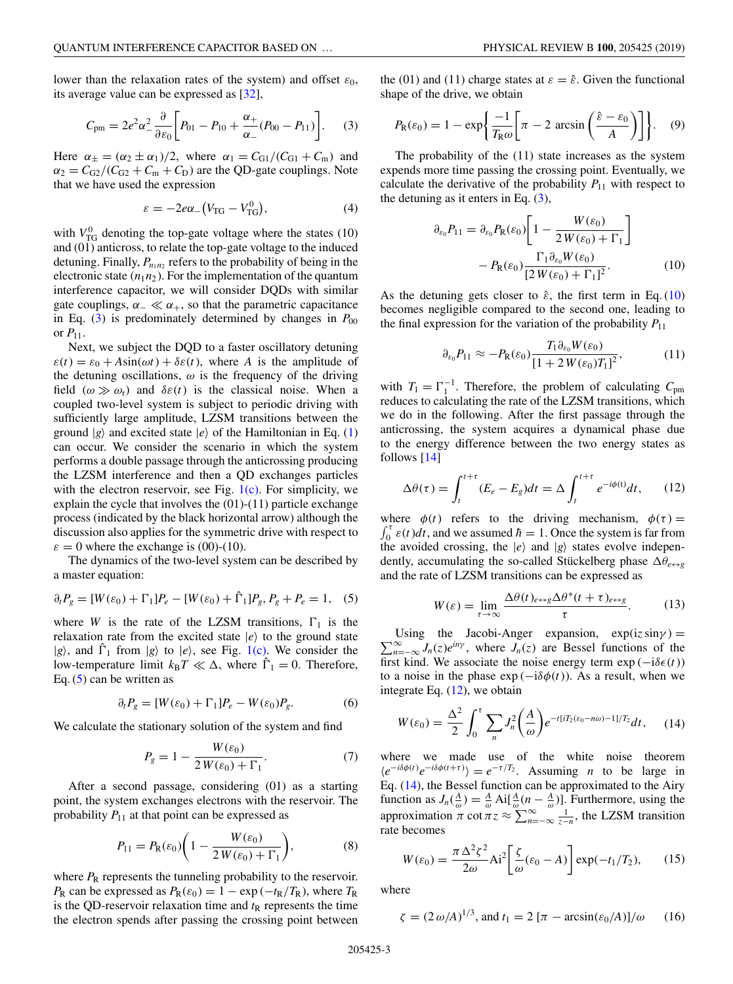<span id="page-2-0"></span>lower than the relaxation rates of the system) and offset  $\varepsilon_0$ , its average value can be expressed as [\[32\]](#page-7-0),

$$
C_{\rm pm} = 2e^2\alpha_-^2 \frac{\partial}{\partial \varepsilon_0} \bigg[ P_{01} - P_{10} + \frac{\alpha_+}{\alpha_-} (P_{00} - P_{11}) \bigg]. \tag{3}
$$

Here  $\alpha_{\pm} = (\alpha_2 \pm \alpha_1)/2$ , where  $\alpha_1 = C_{\text{G1}}/(C_{\text{G1}} + C_{\text{m}})$  and  $\alpha_2 = C_{G2}/(C_{G2} + C_m + C_D)$  are the QD-gate couplings. Note that we have used the expression

$$
\varepsilon = -2e\alpha_{-}(V_{\rm TG} - V_{\rm TG}^0),\tag{4}
$$

with  $V_{\text{TG}}^0$  denoting the top-gate voltage where the states (10) and (01) anticross, to relate the top-gate voltage to the induced detuning. Finally,  $P_{n_1 n_2}$  refers to the probability of being in the electronic state  $(n_1n_2)$ . For the implementation of the quantum interference capacitor, we will consider DQDs with similar gate couplings,  $\alpha_-\ll \alpha_+$ , so that the parametric capacitance in Eq.  $(3)$  is predominately determined by changes in  $P_{00}$ or  $P_{11}$ .

Next, we subject the DQD to a faster oscillatory detuning  $\varepsilon(t) = \varepsilon_0 + A\sin(\omega t) + \delta\varepsilon(t)$ , where *A* is the amplitude of the detuning oscillations,  $\omega$  is the frequency of the driving field  $(\omega \gg \omega_r)$  and  $\delta \varepsilon(t)$  is the classical noise. When a coupled two-level system is subject to periodic driving with sufficiently large amplitude, LZSM transitions between the ground  $|g\rangle$  and excited state  $|e\rangle$  of the Hamiltonian in Eq. [\(1\)](#page-1-0) can occur. We consider the scenario in which the system performs a double passage through the anticrossing producing the LZSM interference and then a QD exchanges particles with the electron reservoir, see Fig.  $1(c)$ . For simplicity, we explain the cycle that involves the (01)-(11) particle exchange process (indicated by the black horizontal arrow) although the discussion also applies for the symmetric drive with respect to  $\varepsilon = 0$  where the exchange is (00)-(10).

The dynamics of the two-level system can be described by a master equation:

$$
\partial_t P_g = [W(\varepsilon_0) + \Gamma_1] P_e - [W(\varepsilon_0) + \hat{\Gamma}_1] P_g, P_g + P_e = 1, \quad (5)
$$

where *W* is the rate of the LZSM transitions,  $\Gamma_1$  is the relaxation rate from the excited state  $|e\rangle$  to the ground state  $|g\rangle$ , and  $\hat{\Gamma}_1$  from  $|g\rangle$  to  $|e\rangle$ , see Fig. [1\(c\).](#page-1-0) We consider the low-temperature limit  $k_B T \ll \Delta$ , where  $\hat{\Gamma}_1 = 0$ . Therefore, Eq. (5) can be written as

$$
\partial_t P_g = [W(\varepsilon_0) + \Gamma_1] P_e - W(\varepsilon_0) P_g. \tag{6}
$$

We calculate the stationary solution of the system and find

$$
P_g = 1 - \frac{W(\varepsilon_0)}{2W(\varepsilon_0) + \Gamma_1}.\tag{7}
$$

After a second passage, considering (01) as a starting point, the system exchanges electrons with the reservoir. The probability  $P_{11}$  at that point can be expressed as

$$
P_{11} = P_{\mathcal{R}}(\varepsilon_0) \bigg( 1 - \frac{W(\varepsilon_0)}{2W(\varepsilon_0) + \Gamma_1} \bigg),\tag{8}
$$

where  $P_R$  represents the tunneling probability to the reservoir. *P*<sub>R</sub> can be expressed as  $P_R(\varepsilon_0) = 1 - \exp(-t_R/T_R)$ , where  $T_R$ is the QD-reservoir relaxation time and  $t<sub>R</sub>$  represents the time the electron spends after passing the crossing point between the (01) and (11) charge states at  $\varepsilon = \hat{\varepsilon}$ . Given the functional shape of the drive, we obtain

$$
P_{\mathsf{R}}(\varepsilon_0) = 1 - \exp\left\{\frac{-1}{T_{\mathsf{R}}\omega} \left[\pi - 2\,\arcsin\left(\frac{\hat{\varepsilon} - \varepsilon_0}{A}\right)\right]\right\}.
$$
 (9)

The probability of the (11) state increases as the system expends more time passing the crossing point. Eventually, we calculate the derivative of the probability  $P_{11}$  with respect to the detuning as it enters in Eq.  $(3)$ ,

$$
\partial_{\varepsilon_0} P_{11} = \partial_{\varepsilon_0} P_{\mathcal{R}}(\varepsilon_0) \left[ 1 - \frac{W(\varepsilon_0)}{2 W(\varepsilon_0) + \Gamma_1} \right] - P_{\mathcal{R}}(\varepsilon_0) \frac{\Gamma_1 \partial_{\varepsilon_0} W(\varepsilon_0)}{\left[ 2 W(\varepsilon_0) + \Gamma_1 \right]^2}.
$$
 (10)

As the detuning gets closer to  $\hat{\varepsilon}$ , the first term in Eq. (10) becomes negligible compared to the second one, leading to the final expression for the variation of the probability  $P_{11}$ 

$$
\partial_{\varepsilon_0} P_{11} \approx -P_{\mathcal{R}}(\varepsilon_0) \frac{T_1 \partial_{\varepsilon_0} W(\varepsilon_0)}{\left[1 + 2 W(\varepsilon_0) T_1\right]^2},\tag{11}
$$

with  $T_1 = \Gamma_1^{-1}$ . Therefore, the problem of calculating  $C_{\text{pm}}$ reduces to calculating the rate of the LZSM transitions, which we do in the following. After the first passage through the anticrossing, the system acquires a dynamical phase due to the energy difference between the two energy states as follows [\[14\]](#page-6-0)

$$
\Delta\theta(\tau) = \int_{t}^{t+\tau} (E_e - E_g) dt = \Delta \int_{t}^{t+\tau} e^{-i\phi(t)} dt, \qquad (12)
$$

where  $\phi(t)$  refers to the driving mechanism,  $\phi(\tau) =$  $\int_0^{\tau} \varepsilon(t) dt$ , and we assumed  $\hbar = 1$ . Once the system is far from the avoided crossing, the  $|e\rangle$  and  $|g\rangle$  states evolve independently, accumulating the so-called Stückelberg phase  $\Delta \theta_{e \leftrightarrow g}$ and the rate of LZSM transitions can be expressed as

$$
W(\varepsilon) = \lim_{\tau \to \infty} \frac{\Delta \theta(t)_{e \leftrightarrow g} \Delta \theta^*(t + \tau)_{e \leftrightarrow g}}{\tau}.
$$
 (13)

 $\sum_{n=-\infty}^{\infty} J_n(z) e^{iny}$ , where  $J_n(z)$  are Bessel functions of the Using the Jacobi-Anger expansion,  $\exp(iz \sin \gamma) =$ first kind. We associate the noise energy term  $exp(-i\delta \epsilon(t))$ to a noise in the phase  $exp(-i\delta\phi(t))$ . As a result, when we integrate Eq. (12), we obtain

$$
W(\varepsilon_0) = \frac{\Delta^2}{2} \int_0^\tau \sum_n J_n^2 \bigg(\frac{A}{\omega}\bigg) e^{-t[iT_2(\varepsilon_0 - n\omega) - 1]/T_2} dt,\qquad(14)
$$

where we made use of the white noise theorem  $\langle e^{-i\delta\phi(t)}e^{-i\delta\phi(t+\tau)}\rangle = e^{-\tau/T_2}$ . Assuming *n* to be large in Eq. (14), the Bessel function can be approximated to the Airy function as  $J_n(\frac{A}{\omega}) = \frac{A}{\omega} \text{Ai}[\frac{A}{\omega}(n - \frac{A}{\omega})]$ . Furthermore, using the approximation  $\pi$  cot  $\pi z \approx \sum_{n=-\infty}^{\infty} \frac{1}{z-n}$ , the LZSM transition rate becomes

$$
W(\varepsilon_0) = \frac{\pi \Delta^2 \zeta^2}{2\omega} \text{Ai}^2 \bigg[ \frac{\zeta}{\omega} (\varepsilon_0 - A) \bigg] \exp(-t_1/T_2), \qquad (15)
$$

where

$$
\zeta = (2 \omega/A)^{1/3}
$$
, and  $t_1 = 2 [\pi - \arcsin(\varepsilon_0/A)]/\omega$  (16)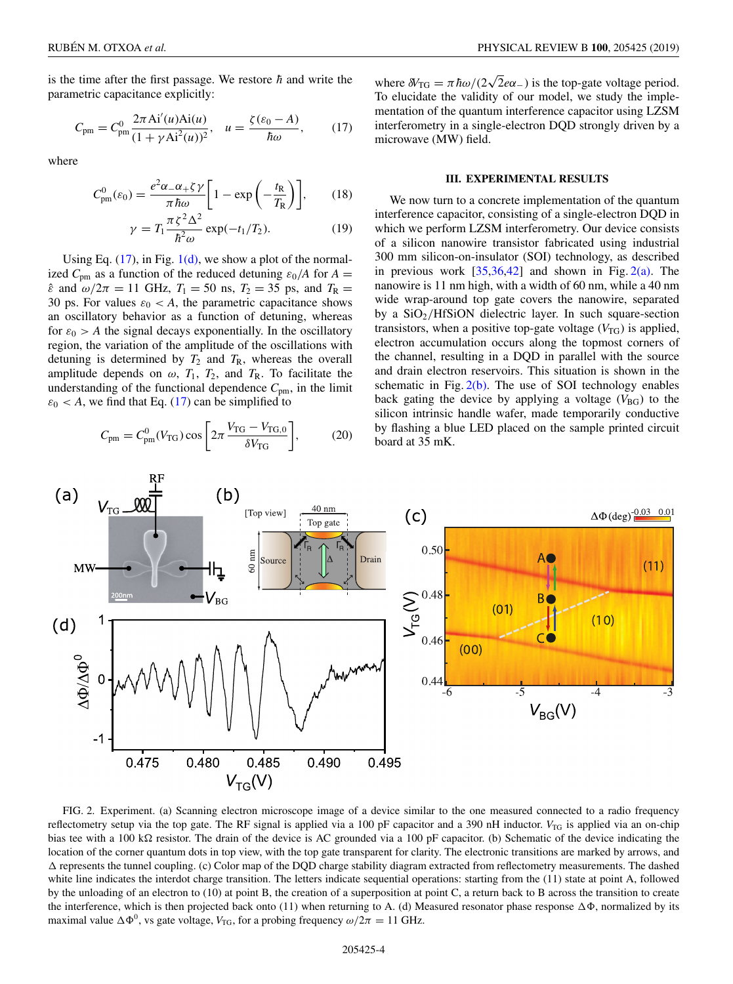<span id="page-3-0"></span>is the time after the first passage. We restore  $\hbar$  and write the parametric capacitance explicitly:

$$
C_{\rm pm} = C_{\rm pm}^{0} \frac{2\pi \, \text{Ai}'(u)\text{Ai}(u)}{(1 + \gamma \, \text{Ai}^2(u))^2}, \quad u = \frac{\zeta(\varepsilon_0 - A)}{\hbar \omega},\tag{17}
$$

where

$$
C_{\rm pm}^{0}(\varepsilon_{0}) = \frac{e^{2}\alpha_{-}\alpha_{+}\zeta\gamma}{\pi\hbar\omega}\bigg[1 - \exp\left(-\frac{t_{\rm R}}{T_{\rm R}}\right)\bigg],\qquad(18)
$$

$$
\gamma = T_1 \frac{\pi \zeta^2 \Delta^2}{\hbar^2 \omega} \exp(-t_1/T_2). \tag{19}
$$

Using Eq.  $(17)$ , in Fig.  $1(d)$ , we show a plot of the normalized  $C_{\text{pm}}$  as a function of the reduced detuning  $\varepsilon_0/A$  for  $A =$  $\hat{\epsilon}$  and  $\omega/2\pi = 11$  GHz,  $T_1 = 50$  ns,  $T_2 = 35$  ps, and  $T_R =$ 30 ps. For values  $\varepsilon_0 < A$ , the parametric capacitance shows an oscillatory behavior as a function of detuning, whereas for  $\varepsilon_0 > A$  the signal decays exponentially. In the oscillatory region, the variation of the amplitude of the oscillations with detuning is determined by  $T_2$  and  $T_R$ , whereas the overall amplitude depends on  $\omega$ ,  $T_1$ ,  $T_2$ , and  $T_R$ . To facilitate the understanding of the functional dependence  $C_{\text{pm}}$ , in the limit  $\varepsilon_0$  < *A*, we find that Eq. (17) can be simplified to

$$
C_{\rm pm} = C_{\rm pm}^{0}(V_{\rm TG}) \cos\left[2\pi \frac{V_{\rm TG} - V_{\rm TG,0}}{\delta V_{\rm TG}}\right],\tag{20}
$$

where  $\delta V_{\text{TG}} = \pi \hbar \omega / (2\sqrt{2}e\alpha_{-})$  is the top-gate voltage period. To elucidate the validity of our model, we study the implementation of the quantum interference capacitor using LZSM interferometry in a single-electron DQD strongly driven by a microwave (MW) field.

#### **III. EXPERIMENTAL RESULTS**

We now turn to a concrete implementation of the quantum interference capacitor, consisting of a single-electron DQD in which we perform LZSM interferometry. Our device consists of a silicon nanowire transistor fabricated using industrial 300 mm silicon-on-insulator (SOI) technology, as described in previous work  $[35,36,42]$  and shown in Fig.  $2(a)$ . The nanowire is 11 nm high, with a width of 60 nm, while a 40 nm wide wrap-around top gate covers the nanowire, separated by a  $SiO<sub>2</sub>/HfSiON$  dielectric layer. In such square-section transistors, when a positive top-gate voltage  $(V_{TG})$  is applied, electron accumulation occurs along the topmost corners of the channel, resulting in a DQD in parallel with the source and drain electron reservoirs. This situation is shown in the schematic in Fig.  $2(b)$ . The use of SOI technology enables back gating the device by applying a voltage  $(V_{BG})$  to the silicon intrinsic handle wafer, made temporarily conductive by flashing a blue LED placed on the sample printed circuit board at 35 mK.



FIG. 2. Experiment. (a) Scanning electron microscope image of a device similar to the one measured connected to a radio frequency reflectometry setup via the top gate. The RF signal is applied via a 100 pF capacitor and a 390 nH inductor. *V*<sub>TG</sub> is applied via an on-chip bias tee with a 100 k $\Omega$  resistor. The drain of the device is AC grounded via a 100 pF capacitor. (b) Schematic of the device indicating the location of the corner quantum dots in top view, with the top gate transparent for clarity. The electronic transitions are marked by arrows, and  $\Delta$  represents the tunnel coupling. (c) Color map of the DQD charge stability diagram extracted from reflectometry measurements. The dashed white line indicates the interdot charge transition. The letters indicate sequential operations: starting from the (11) state at point A, followed by the unloading of an electron to (10) at point B, the creation of a superposition at point C, a return back to B across the transition to create the interference, which is then projected back onto (11) when returning to A. (d) Measured resonator phase response  $\Delta\Phi$ , normalized by its maximal value  $\Delta \Phi^0$ , vs gate voltage, *V*<sub>TG</sub>, for a probing frequency  $\omega/2\pi = 11$  GHz.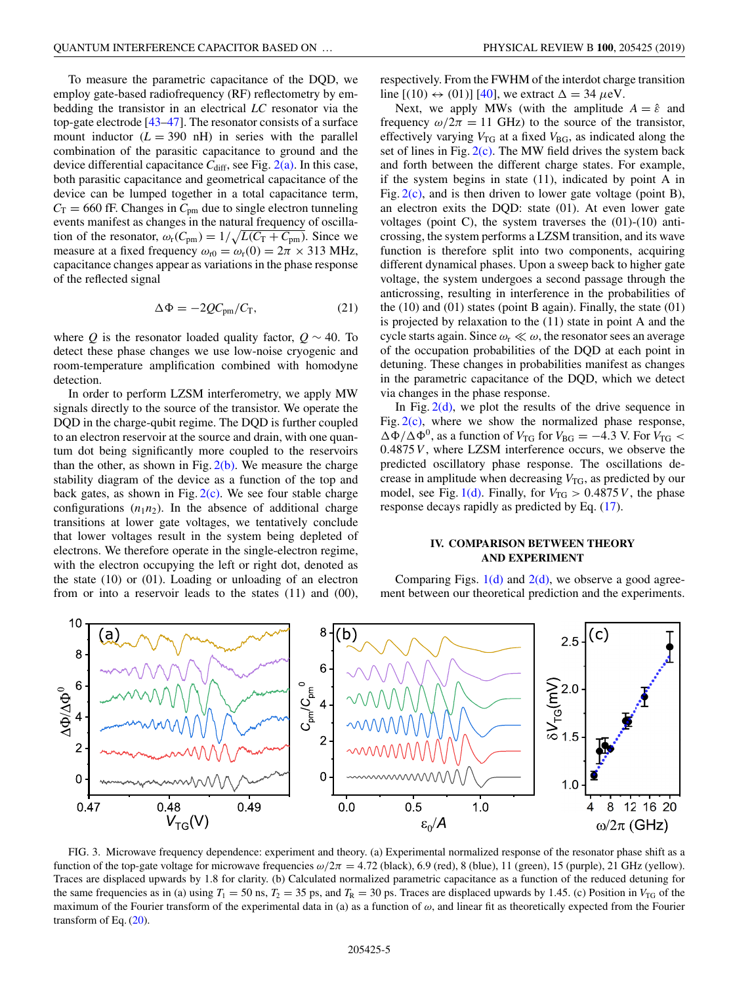<span id="page-4-0"></span>To measure the parametric capacitance of the DQD, we employ gate-based radiofrequency (RF) reflectometry by embedding the transistor in an electrical *LC* resonator via the top-gate electrode [\[43–47\]](#page-7-0). The resonator consists of a surface mount inductor  $(L = 390 \text{ nH})$  in series with the parallel combination of the parasitic capacitance to ground and the device differential capacitance  $C_{\text{diff}}$ , see Fig.  $2(a)$ . In this case, both parasitic capacitance and geometrical capacitance of the device can be lumped together in a total capacitance term,  $C_T = 660$  fF. Changes in  $C_{pm}$  due to single electron tunneling events manifest as changes in the natural frequency of oscillation of the resonator,  $\omega_r(C_{\text{pm}}) = 1/\sqrt{L(C_{\text{T}} + C_{\text{pm}})}$ . Since we measure at a fixed frequency  $\omega_{r0} = \omega_r(0) = 2\pi \times 313$  MHz, capacitance changes appear as variations in the phase response of the reflected signal

$$
\Delta \Phi = -2Q C_{\rm pm}/C_{\rm T},\qquad(21)
$$

where *Q* is the resonator loaded quality factor,  $Q \sim 40$ . To detect these phase changes we use low-noise cryogenic and room-temperature amplification combined with homodyne detection.

In order to perform LZSM interferometry, we apply MW signals directly to the source of the transistor. We operate the DQD in the charge-qubit regime. The DQD is further coupled to an electron reservoir at the source and drain, with one quantum dot being significantly more coupled to the reservoirs than the other, as shown in Fig.  $2(b)$ . We measure the charge stability diagram of the device as a function of the top and back gates, as shown in Fig.  $2(c)$ . We see four stable charge configurations  $(n_1n_2)$ . In the absence of additional charge transitions at lower gate voltages, we tentatively conclude that lower voltages result in the system being depleted of electrons. We therefore operate in the single-electron regime, with the electron occupying the left or right dot, denoted as the state (10) or (01). Loading or unloading of an electron from or into a reservoir leads to the states (11) and (00), respectively. From the FWHM of the interdot charge transition line  $[(10) \leftrightarrow (01)]$  [\[40\]](#page-7-0), we extract  $\Delta = 34 \mu$ eV.

Next, we apply MWs (with the amplitude  $A = \hat{\varepsilon}$  and frequency  $\omega/2\pi = 11$  GHz) to the source of the transistor, effectively varying  $V_{\text{TG}}$  at a fixed  $V_{\text{BG}}$ , as indicated along the set of lines in Fig.  $2(c)$ . The MW field drives the system back and forth between the different charge states. For example, if the system begins in state (11), indicated by point A in Fig.  $2(c)$ , and is then driven to lower gate voltage (point B), an electron exits the DQD: state (01). At even lower gate voltages (point C), the system traverses the (01)-(10) anticrossing, the system performs a LZSM transition, and its wave function is therefore split into two components, acquiring different dynamical phases. Upon a sweep back to higher gate voltage, the system undergoes a second passage through the anticrossing, resulting in interference in the probabilities of the  $(10)$  and  $(01)$  states (point B again). Finally, the state  $(01)$ is projected by relaxation to the (11) state in point A and the cycle starts again. Since  $\omega_{\rm r} \ll \omega$ , the resonator sees an average of the occupation probabilities of the DQD at each point in detuning. These changes in probabilities manifest as changes in the parametric capacitance of the DQD, which we detect via changes in the phase response.

In Fig.  $2(d)$ , we plot the results of the drive sequence in Fig.  $2(c)$ , where we show the normalized phase response,  $\Delta\Phi/\Delta\Phi^0$ , as a function of *V*<sub>TG</sub> for *V*<sub>BG</sub> = −4.3 V. For *V*<sub>TG</sub> < 0.4875*V* , where LZSM interference occurs, we observe the predicted oscillatory phase response. The oscillations decrease in amplitude when decreasing  $V_{\text{TG}}$ , as predicted by our model, see Fig. [1\(d\).](#page-1-0) Finally, for  $V_{TG} > 0.4875V$ , the phase response decays rapidly as predicted by Eq. [\(17\)](#page-3-0).

# **IV. COMPARISON BETWEEN THEORY AND EXPERIMENT**

Comparing Figs.  $1(d)$  and  $2(d)$ , we observe a good agreement between our theoretical prediction and the experiments.



FIG. 3. Microwave frequency dependence: experiment and theory. (a) Experimental normalized response of the resonator phase shift as a function of the top-gate voltage for microwave frequencies  $\omega/2\pi = 4.72$  (black), 6.9 (red), 8 (blue), 11 (green), 15 (purple), 21 GHz (yellow). Traces are displaced upwards by 1.8 for clarity. (b) Calculated normalized parametric capacitance as a function of the reduced detuning for the same frequencies as in (a) using  $T_1 = 50$  ns,  $T_2 = 35$  ps, and  $T_R = 30$  ps. Traces are displaced upwards by 1.45. (c) Position in  $V_{TG}$  of the maximum of the Fourier transform of the experimental data in (a) as a function of  $\omega$ , and linear fit as theoretically expected from the Fourier transform of Eq.  $(20)$ .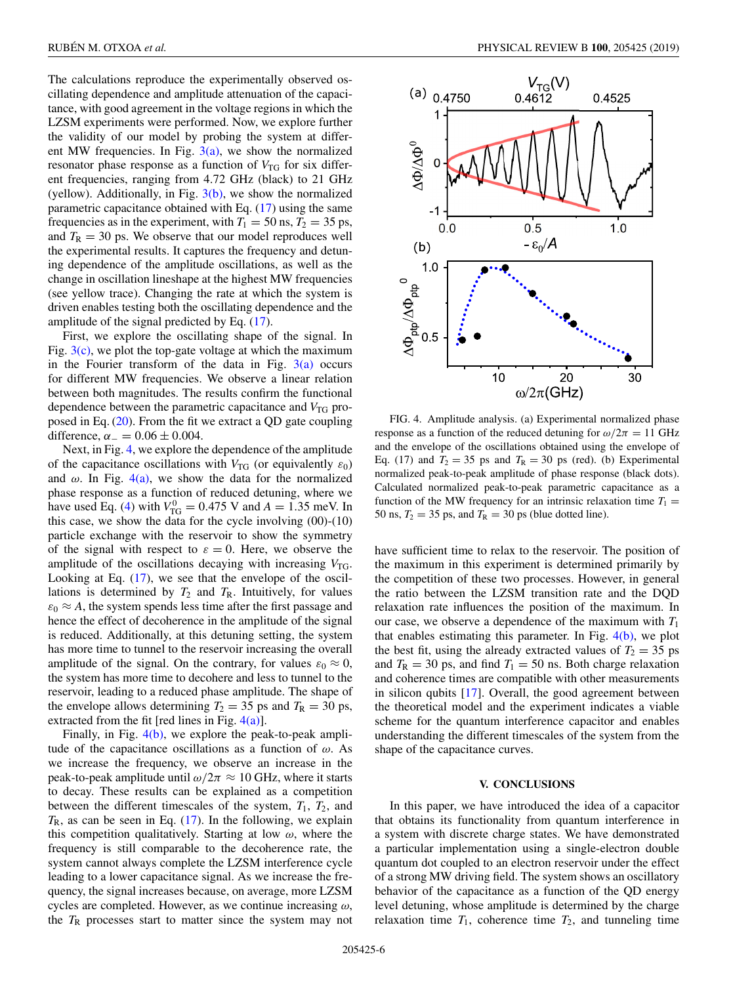The calculations reproduce the experimentally observed oscillating dependence and amplitude attenuation of the capacitance, with good agreement in the voltage regions in which the LZSM experiments were performed. Now, we explore further the validity of our model by probing the system at different MW frequencies. In Fig.  $3(a)$ , we show the normalized resonator phase response as a function of  $V_{\text{TG}}$  for six different frequencies, ranging from 4.72 GHz (black) to 21 GHz (yellow). Additionally, in Fig.  $3(b)$ , we show the normalized parametric capacitance obtained with Eq. [\(17\)](#page-3-0) using the same frequencies as in the experiment, with  $T_1 = 50$  ns,  $T_2 = 35$  ps, and  $T_R = 30$  ps. We observe that our model reproduces well the experimental results. It captures the frequency and detuning dependence of the amplitude oscillations, as well as the change in oscillation lineshape at the highest MW frequencies (see yellow trace). Changing the rate at which the system is driven enables testing both the oscillating dependence and the amplitude of the signal predicted by Eq. [\(17\)](#page-3-0).

First, we explore the oscillating shape of the signal. In Fig.  $3(c)$ , we plot the top-gate voltage at which the maximum in the Fourier transform of the data in Fig.  $3(a)$  occurs for different MW frequencies. We observe a linear relation between both magnitudes. The results confirm the functional dependence between the parametric capacitance and  $V_{\text{TG}}$  proposed in Eq. [\(20\)](#page-3-0). From the fit we extract a QD gate coupling difference,  $\alpha_- = 0.06 \pm 0.004$ .

Next, in Fig. 4, we explore the dependence of the amplitude of the capacitance oscillations with  $V_{\text{TG}}$  (or equivalently  $\varepsilon_0$ ) and  $\omega$ . In Fig. 4(a), we show the data for the normalized phase response as a function of reduced detuning, where we have used Eq. [\(4\)](#page-2-0) with  $V_{\text{TG}}^0 = 0.475$  V and  $A = 1.35$  meV. In this case, we show the data for the cycle involving  $(00)-(10)$ particle exchange with the reservoir to show the symmetry of the signal with respect to  $\varepsilon = 0$ . Here, we observe the amplitude of the oscillations decaying with increasing  $V_{\text{TG}}$ . Looking at Eq.  $(17)$ , we see that the envelope of the oscillations is determined by  $T_2$  and  $T_R$ . Intuitively, for values  $\varepsilon_0 \approx A$ , the system spends less time after the first passage and hence the effect of decoherence in the amplitude of the signal is reduced. Additionally, at this detuning setting, the system has more time to tunnel to the reservoir increasing the overall amplitude of the signal. On the contrary, for values  $\varepsilon_0 \approx 0$ , the system has more time to decohere and less to tunnel to the reservoir, leading to a reduced phase amplitude. The shape of the envelope allows determining  $T_2 = 35$  ps and  $T_R = 30$  ps, extracted from the fit [red lines in Fig.  $4(a)$ ].

Finally, in Fig. 4(b), we explore the peak-to-peak amplitude of the capacitance oscillations as a function of  $\omega$ . As we increase the frequency, we observe an increase in the peak-to-peak amplitude until  $\omega/2\pi \approx 10$  GHz, where it starts to decay. These results can be explained as a competition between the different timescales of the system,  $T_1$ ,  $T_2$ , and  $T_R$ , as can be seen in Eq.  $(17)$ . In the following, we explain this competition qualitatively. Starting at low  $\omega$ , where the frequency is still comparable to the decoherence rate, the system cannot always complete the LZSM interference cycle leading to a lower capacitance signal. As we increase the frequency, the signal increases because, on average, more LZSM cycles are completed. However, as we continue increasing  $\omega$ , the *T*<sup>R</sup> processes start to matter since the system may not



FIG. 4. Amplitude analysis. (a) Experimental normalized phase response as a function of the reduced detuning for  $\omega/2\pi = 11$  GHz and the envelope of the oscillations obtained using the envelope of Eq. (17) and  $T_2 = 35$  ps and  $T_R = 30$  ps (red). (b) Experimental normalized peak-to-peak amplitude of phase response (black dots). Calculated normalized peak-to-peak parametric capacitance as a function of the MW frequency for an intrinsic relaxation time  $T_1$  = 50 ns,  $T_2 = 35$  ps, and  $T_R = 30$  ps (blue dotted line).

have sufficient time to relax to the reservoir. The position of the maximum in this experiment is determined primarily by the competition of these two processes. However, in general the ratio between the LZSM transition rate and the DQD relaxation rate influences the position of the maximum. In our case, we observe a dependence of the maximum with  $T_1$ that enables estimating this parameter. In Fig. 4(b), we plot the best fit, using the already extracted values of  $T_2 = 35$  ps and  $T_R = 30$  ps, and find  $T_1 = 50$  ns. Both charge relaxation and coherence times are compatible with other measurements in silicon qubits [\[17\]](#page-6-0). Overall, the good agreement between the theoretical model and the experiment indicates a viable scheme for the quantum interference capacitor and enables understanding the different timescales of the system from the shape of the capacitance curves.

### **V. CONCLUSIONS**

In this paper, we have introduced the idea of a capacitor that obtains its functionality from quantum interference in a system with discrete charge states. We have demonstrated a particular implementation using a single-electron double quantum dot coupled to an electron reservoir under the effect of a strong MW driving field. The system shows an oscillatory behavior of the capacitance as a function of the QD energy level detuning, whose amplitude is determined by the charge relaxation time  $T_1$ , coherence time  $T_2$ , and tunneling time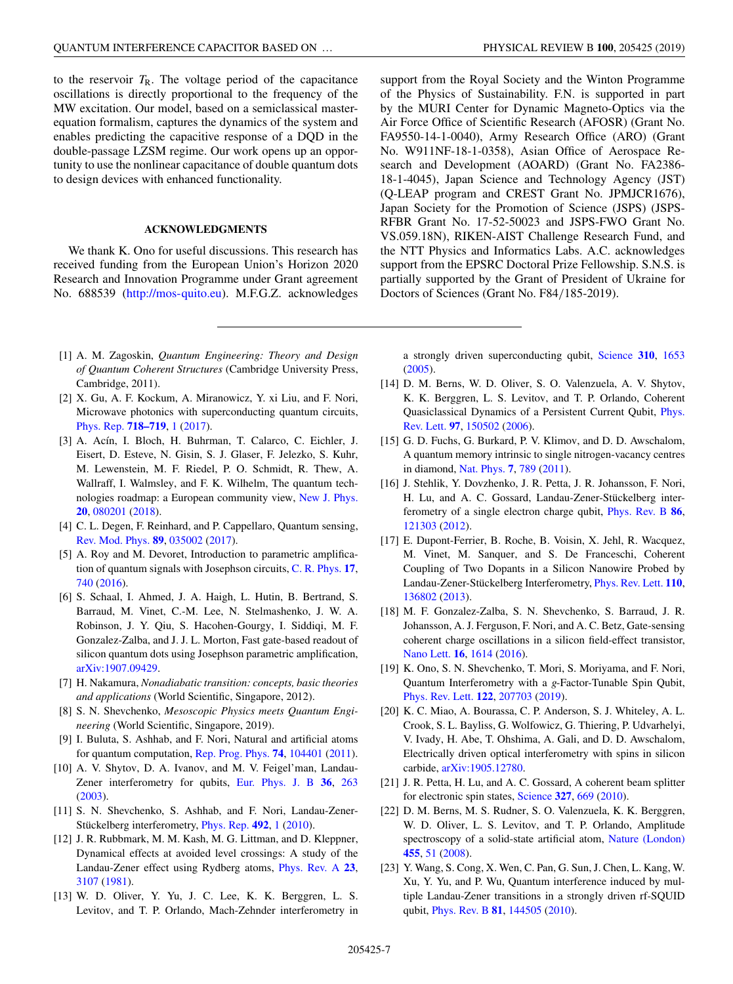<span id="page-6-0"></span>to the reservoir  $T_R$ . The voltage period of the capacitance oscillations is directly proportional to the frequency of the MW excitation. Our model, based on a semiclassical masterequation formalism, captures the dynamics of the system and enables predicting the capacitive response of a DQD in the double-passage LZSM regime. Our work opens up an opportunity to use the nonlinear capacitance of double quantum dots to design devices with enhanced functionality.

### **ACKNOWLEDGMENTS**

We thank K. Ono for useful discussions. This research has received funding from the European Union's Horizon 2020 Research and Innovation Programme under Grant agreement No. 688539 [\(http://mos-quito.eu\)](http://mos-quito.eu). M.F.G.Z. acknowledges

- [1] A. M. Zagoskin, *Quantum Engineering: Theory and Design of Quantum Coherent Structures* (Cambridge University Press, Cambridge, 2011).
- [2] X. Gu, A. F. Kockum, A. Miranowicz, Y. xi Liu, and F. Nori, Microwave photonics with superconducting quantum circuits, [Phys. Rep.](https://doi.org/10.1016/j.physrep.2017.10.002) **[718–719](https://doi.org/10.1016/j.physrep.2017.10.002)**, [1](https://doi.org/10.1016/j.physrep.2017.10.002) [\(2017\)](https://doi.org/10.1016/j.physrep.2017.10.002).
- [3] A. Acín, I. Bloch, H. Buhrman, T. Calarco, C. Eichler, J. Eisert, D. Esteve, N. Gisin, S. J. Glaser, F. Jelezko, S. Kuhr, M. Lewenstein, M. F. Riedel, P. O. Schmidt, R. Thew, A. Wallraff, I. Walmsley, and F. K. Wilhelm, The quantum technologies roadmap: a European community view, [New J. Phys.](https://doi.org/10.1088/1367-2630/aad1ea) **[20](https://doi.org/10.1088/1367-2630/aad1ea)**, [080201](https://doi.org/10.1088/1367-2630/aad1ea) [\(2018\)](https://doi.org/10.1088/1367-2630/aad1ea).
- [4] C. L. Degen, F. Reinhard, and P. Cappellaro, Quantum sensing, [Rev. Mod. Phys.](https://doi.org/10.1103/RevModPhys.89.035002) **[89](https://doi.org/10.1103/RevModPhys.89.035002)**, [035002](https://doi.org/10.1103/RevModPhys.89.035002) [\(2017\)](https://doi.org/10.1103/RevModPhys.89.035002).
- [5] A. Roy and M. Devoret, Introduction to parametric amplification of quantum signals with Josephson circuits, [C. R. Phys.](https://doi.org/10.1016/j.crhy.2016.07.012) **[17](https://doi.org/10.1016/j.crhy.2016.07.012)**, [740](https://doi.org/10.1016/j.crhy.2016.07.012) [\(2016\)](https://doi.org/10.1016/j.crhy.2016.07.012).
- [6] S. Schaal, I. Ahmed, J. A. Haigh, L. Hutin, B. Bertrand, S. Barraud, M. Vinet, C.-M. Lee, N. Stelmashenko, J. W. A. Robinson, J. Y. Qiu, S. Hacohen-Gourgy, I. Siddiqi, M. F. Gonzalez-Zalba, and J. J. L. Morton, Fast gate-based readout of silicon quantum dots using Josephson parametric amplification, [arXiv:1907.09429.](http://arxiv.org/abs/arXiv:1907.09429)
- [7] H. Nakamura, *Nonadiabatic transition: concepts, basic theories and applications* (World Scientific, Singapore, 2012).
- [8] S. N. Shevchenko, *Mesoscopic Physics meets Quantum Engineering* (World Scientific, Singapore, 2019).
- [9] I. Buluta, S. Ashhab, and F. Nori, Natural and artificial atoms for quantum computation, [Rep. Prog. Phys.](https://doi.org/10.1088/0034-4885/74/10/104401) **[74](https://doi.org/10.1088/0034-4885/74/10/104401)**, [104401](https://doi.org/10.1088/0034-4885/74/10/104401) [\(2011\)](https://doi.org/10.1088/0034-4885/74/10/104401).
- [10] A. V. Shytov, D. A. Ivanov, and M. V. Feigel'man, Landau-Zener interferometry for qubits, [Eur. Phys. J. B](https://doi.org/10.1140/epjb/e2003-00343-8) **[36](https://doi.org/10.1140/epjb/e2003-00343-8)**, [263](https://doi.org/10.1140/epjb/e2003-00343-8) [\(2003\)](https://doi.org/10.1140/epjb/e2003-00343-8).
- [11] S. N. Shevchenko, S. Ashhab, and F. Nori, Landau-Zener-Stückelberg interferometry, [Phys. Rep.](https://doi.org/10.1016/j.physrep.2010.03.002) **[492](https://doi.org/10.1016/j.physrep.2010.03.002)**, [1](https://doi.org/10.1016/j.physrep.2010.03.002) [\(2010\)](https://doi.org/10.1016/j.physrep.2010.03.002).
- [12] J. R. Rubbmark, M. M. Kash, M. G. Littman, and D. Kleppner, Dynamical effects at avoided level crossings: A study of the Landau-Zener effect using Rydberg atoms, [Phys. Rev. A](https://doi.org/10.1103/PhysRevA.23.3107) **[23](https://doi.org/10.1103/PhysRevA.23.3107)**, [3107](https://doi.org/10.1103/PhysRevA.23.3107) [\(1981\)](https://doi.org/10.1103/PhysRevA.23.3107).
- [13] W. D. Oliver, Y. Yu, J. C. Lee, K. K. Berggren, L. S. Levitov, and T. P. Orlando, Mach-Zehnder interferometry in

support from the Royal Society and the Winton Programme of the Physics of Sustainability. F.N. is supported in part by the MURI Center for Dynamic Magneto-Optics via the Air Force Office of Scientific Research (AFOSR) (Grant No. FA9550-14-1-0040), Army Research Office (ARO) (Grant No. W911NF-18-1-0358), Asian Office of Aerospace Research and Development (AOARD) (Grant No. FA2386- 18-1-4045), Japan Science and Technology Agency (JST) (Q-LEAP program and CREST Grant No. JPMJCR1676), Japan Society for the Promotion of Science (JSPS) (JSPS-RFBR Grant No. 17-52-50023 and JSPS-FWO Grant No. VS.059.18N), RIKEN-AIST Challenge Research Fund, and the NTT Physics and Informatics Labs. A.C. acknowledges support from the EPSRC Doctoral Prize Fellowship. S.N.S. is partially supported by the Grant of President of Ukraine for Doctors of Sciences (Grant No. F84/185-2019).

a strongly driven superconducting qubit, [Science](https://doi.org/10.1126/science.1119678) **[310](https://doi.org/10.1126/science.1119678)**, [1653](https://doi.org/10.1126/science.1119678) [\(2005\)](https://doi.org/10.1126/science.1119678).

- [14] D. M. Berns, W. D. Oliver, S. O. Valenzuela, A. V. Shytov, K. K. Berggren, L. S. Levitov, and T. P. Orlando, Coherent [Quasiclassical Dynamics of a Persistent Current Qubit,](https://doi.org/10.1103/PhysRevLett.97.150502) Phys. Rev. Lett. **[97](https://doi.org/10.1103/PhysRevLett.97.150502)**, [150502](https://doi.org/10.1103/PhysRevLett.97.150502) [\(2006\)](https://doi.org/10.1103/PhysRevLett.97.150502).
- [15] G. D. Fuchs, G. Burkard, P. V. Klimov, and D. D. Awschalom, A quantum memory intrinsic to single nitrogen-vacancy centres in diamond, [Nat. Phys.](https://doi.org/10.1038/nphys2026) **[7](https://doi.org/10.1038/nphys2026)**, [789](https://doi.org/10.1038/nphys2026) [\(2011\)](https://doi.org/10.1038/nphys2026).
- [16] J. Stehlik, Y. Dovzhenko, J. R. Petta, J. R. Johansson, F. Nori, H. Lu, and A. C. Gossard, Landau-Zener-Stückelberg interferometry of a single electron charge qubit, [Phys. Rev. B](https://doi.org/10.1103/PhysRevB.86.121303) **[86](https://doi.org/10.1103/PhysRevB.86.121303)**, [121303](https://doi.org/10.1103/PhysRevB.86.121303) [\(2012\)](https://doi.org/10.1103/PhysRevB.86.121303).
- [17] E. Dupont-Ferrier, B. Roche, B. Voisin, X. Jehl, R. Wacquez, M. Vinet, M. Sanquer, and S. De Franceschi, Coherent Coupling of Two Dopants in a Silicon Nanowire Probed by Landau-Zener-Stückelberg Interferometry, [Phys. Rev. Lett.](https://doi.org/10.1103/PhysRevLett.110.136802) **[110](https://doi.org/10.1103/PhysRevLett.110.136802)**, [136802](https://doi.org/10.1103/PhysRevLett.110.136802) [\(2013\)](https://doi.org/10.1103/PhysRevLett.110.136802).
- [18] M. F. Gonzalez-Zalba, S. N. Shevchenko, S. Barraud, J. R. Johansson, A. J. Ferguson, F. Nori, and A. C. Betz, Gate-sensing coherent charge oscillations in a silicon field-effect transistor, [Nano Lett.](https://doi.org/10.1021/acs.nanolett.5b04356) **[16](https://doi.org/10.1021/acs.nanolett.5b04356)**, [1614](https://doi.org/10.1021/acs.nanolett.5b04356) [\(2016\)](https://doi.org/10.1021/acs.nanolett.5b04356).
- [19] K. Ono, S. N. Shevchenko, T. Mori, S. Moriyama, and F. Nori, Quantum Interferometry with a *g*-Factor-Tunable Spin Qubit, [Phys. Rev. Lett.](https://doi.org/10.1103/PhysRevLett.122.207703) **[122](https://doi.org/10.1103/PhysRevLett.122.207703)**, [207703](https://doi.org/10.1103/PhysRevLett.122.207703) [\(2019\)](https://doi.org/10.1103/PhysRevLett.122.207703).
- [20] K. C. Miao, A. Bourassa, C. P. Anderson, S. J. Whiteley, A. L. Crook, S. L. Bayliss, G. Wolfowicz, G. Thiering, P. Udvarhelyi, V. Ivady, H. Abe, T. Ohshima, A. Gali, and D. D. Awschalom, Electrically driven optical interferometry with spins in silicon carbide, [arXiv:1905.12780.](http://arxiv.org/abs/arXiv:1905.12780)
- [21] J. R. Petta, H. Lu, and A. C. Gossard, A coherent beam splitter for electronic spin states, [Science](https://doi.org/10.1126/science.1183628) **[327](https://doi.org/10.1126/science.1183628)**, [669](https://doi.org/10.1126/science.1183628) [\(2010\)](https://doi.org/10.1126/science.1183628).
- [22] D. M. Berns, M. S. Rudner, S. O. Valenzuela, K. K. Berggren, W. D. Oliver, L. S. Levitov, and T. P. Orlando, Amplitude spectroscopy of a solid-state artificial atom, [Nature \(London\)](https://doi.org/10.1038/nature07262) **[455](https://doi.org/10.1038/nature07262)**, [51](https://doi.org/10.1038/nature07262) [\(2008\)](https://doi.org/10.1038/nature07262).
- [23] Y. Wang, S. Cong, X. Wen, C. Pan, G. Sun, J. Chen, L. Kang, W. Xu, Y. Yu, and P. Wu, Quantum interference induced by multiple Landau-Zener transitions in a strongly driven rf-SQUID qubit, [Phys. Rev. B](https://doi.org/10.1103/PhysRevB.81.144505) **[81](https://doi.org/10.1103/PhysRevB.81.144505)**, [144505](https://doi.org/10.1103/PhysRevB.81.144505) [\(2010\)](https://doi.org/10.1103/PhysRevB.81.144505).